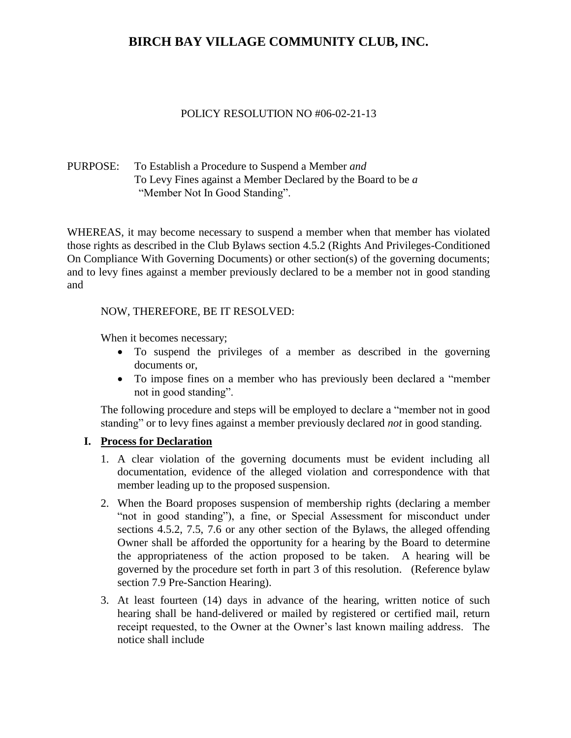### POLICY RESOLUTION NO #06-02-21-13

### PURPOSE: To Establish a Procedure to Suspend a Member *and* To Levy Fines against a Member Declared by the Board to be *a* "Member Not In Good Standing".

WHEREAS, it may become necessary to suspend a member when that member has violated those rights as described in the Club Bylaws section 4.5.2 (Rights And Privileges-Conditioned On Compliance With Governing Documents) or other section(s) of the governing documents; and to levy fines against a member previously declared to be a member not in good standing and

#### NOW, THEREFORE, BE IT RESOLVED:

When it becomes necessary;

- To suspend the privileges of a member as described in the governing documents or,
- To impose fines on a member who has previously been declared a "member not in good standing".

The following procedure and steps will be employed to declare a "member not in good standing" or to levy fines against a member previously declared *not* in good standing.

### **I. Process for Declaration**

- 1. A clear violation of the governing documents must be evident including all documentation, evidence of the alleged violation and correspondence with that member leading up to the proposed suspension.
- 2. When the Board proposes suspension of membership rights (declaring a member "not in good standing"), a fine, or Special Assessment for misconduct under sections 4.5.2, 7.5, 7.6 or any other section of the Bylaws, the alleged offending Owner shall be afforded the opportunity for a hearing by the Board to determine the appropriateness of the action proposed to be taken. A hearing will be governed by the procedure set forth in part 3 of this resolution. (Reference bylaw section 7.9 Pre-Sanction Hearing).
- 3. At least fourteen (14) days in advance of the hearing, written notice of such hearing shall be hand-delivered or mailed by registered or certified mail, return receipt requested, to the Owner at the Owner's last known mailing address. The notice shall include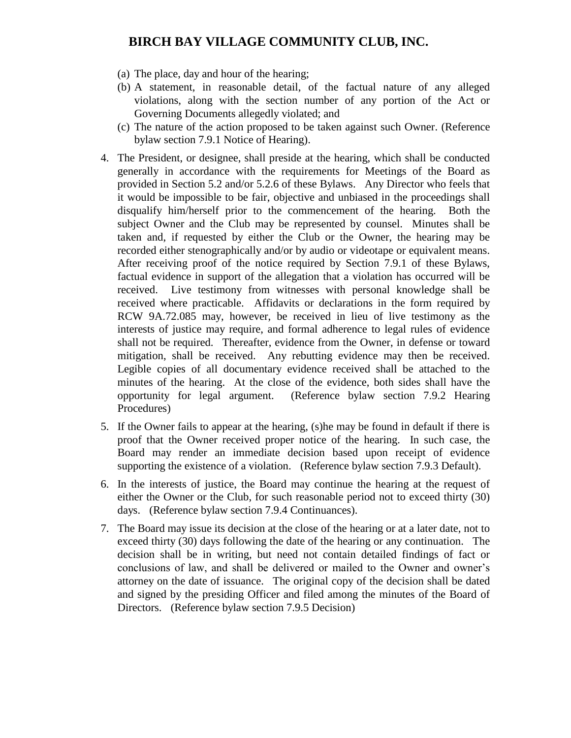- (a) The place, day and hour of the hearing;
- (b) A statement, in reasonable detail, of the factual nature of any alleged violations, along with the section number of any portion of the Act or Governing Documents allegedly violated; and
- (c) The nature of the action proposed to be taken against such Owner. (Reference bylaw section 7.9.1 Notice of Hearing).
- 4. The President, or designee, shall preside at the hearing, which shall be conducted generally in accordance with the requirements for Meetings of the Board as provided in Section 5.2 and/or 5.2.6 of these Bylaws. Any Director who feels that it would be impossible to be fair, objective and unbiased in the proceedings shall disqualify him/herself prior to the commencement of the hearing. Both the subject Owner and the Club may be represented by counsel. Minutes shall be taken and, if requested by either the Club or the Owner, the hearing may be recorded either stenographically and/or by audio or videotape or equivalent means. After receiving proof of the notice required by Section 7.9.1 of these Bylaws, factual evidence in support of the allegation that a violation has occurred will be received. Live testimony from witnesses with personal knowledge shall be received where practicable. Affidavits or declarations in the form required by RCW 9A.72.085 may, however, be received in lieu of live testimony as the interests of justice may require, and formal adherence to legal rules of evidence shall not be required. Thereafter, evidence from the Owner, in defense or toward mitigation, shall be received. Any rebutting evidence may then be received. Legible copies of all documentary evidence received shall be attached to the minutes of the hearing. At the close of the evidence, both sides shall have the opportunity for legal argument. (Reference bylaw section 7.9.2 Hearing Procedures)
- 5. If the Owner fails to appear at the hearing, (s)he may be found in default if there is proof that the Owner received proper notice of the hearing. In such case, the Board may render an immediate decision based upon receipt of evidence supporting the existence of a violation. (Reference bylaw section 7.9.3 Default).
- 6. In the interests of justice, the Board may continue the hearing at the request of either the Owner or the Club, for such reasonable period not to exceed thirty (30) days. (Reference bylaw section 7.9.4 Continuances).
- 7. The Board may issue its decision at the close of the hearing or at a later date, not to exceed thirty (30) days following the date of the hearing or any continuation. The decision shall be in writing, but need not contain detailed findings of fact or conclusions of law, and shall be delivered or mailed to the Owner and owner's attorney on the date of issuance. The original copy of the decision shall be dated and signed by the presiding Officer and filed among the minutes of the Board of Directors. (Reference bylaw section 7.9.5 Decision)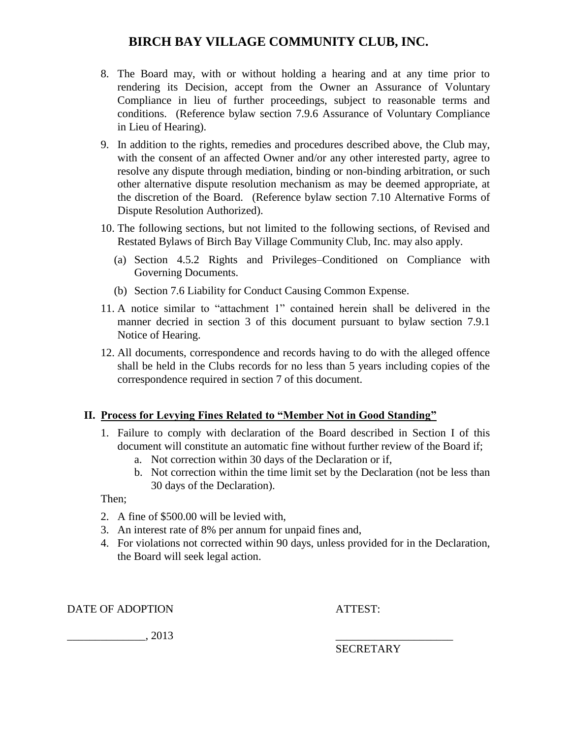- 8. The Board may, with or without holding a hearing and at any time prior to rendering its Decision, accept from the Owner an Assurance of Voluntary Compliance in lieu of further proceedings, subject to reasonable terms and conditions. (Reference bylaw section 7.9.6 Assurance of Voluntary Compliance in Lieu of Hearing).
- 9. In addition to the rights, remedies and procedures described above, the Club may, with the consent of an affected Owner and/or any other interested party, agree to resolve any dispute through mediation, binding or non-binding arbitration, or such other alternative dispute resolution mechanism as may be deemed appropriate, at the discretion of the Board. (Reference bylaw section 7.10 Alternative Forms of Dispute Resolution Authorized).
- 10. The following sections, but not limited to the following sections, of Revised and Restated Bylaws of Birch Bay Village Community Club, Inc. may also apply.
	- (a) Section 4.5.2 Rights and Privileges–Conditioned on Compliance with Governing Documents.
	- (b) Section 7.6 Liability for Conduct Causing Common Expense.
- 11. A notice similar to "attachment 1" contained herein shall be delivered in the manner decried in section 3 of this document pursuant to bylaw section 7.9.1 Notice of Hearing.
- 12. All documents, correspondence and records having to do with the alleged offence shall be held in the Clubs records for no less than 5 years including copies of the correspondence required in section 7 of this document.

### **II. Process for Levying Fines Related to "Member Not in Good Standing"**

- 1. Failure to comply with declaration of the Board described in Section I of this document will constitute an automatic fine without further review of the Board if;
	- a. Not correction within 30 days of the Declaration or if,
	- b. Not correction within the time limit set by the Declaration (not be less than 30 days of the Declaration).

Then;

- 2. A fine of \$500.00 will be levied with,
- 3. An interest rate of 8% per annum for unpaid fines and,
- 4. For violations not corrected within 90 days, unless provided for in the Declaration, the Board will seek legal action.

DATE OF ADOPTION ATTEST:

 $\frac{2013}{2013}$ 

SECRETARY